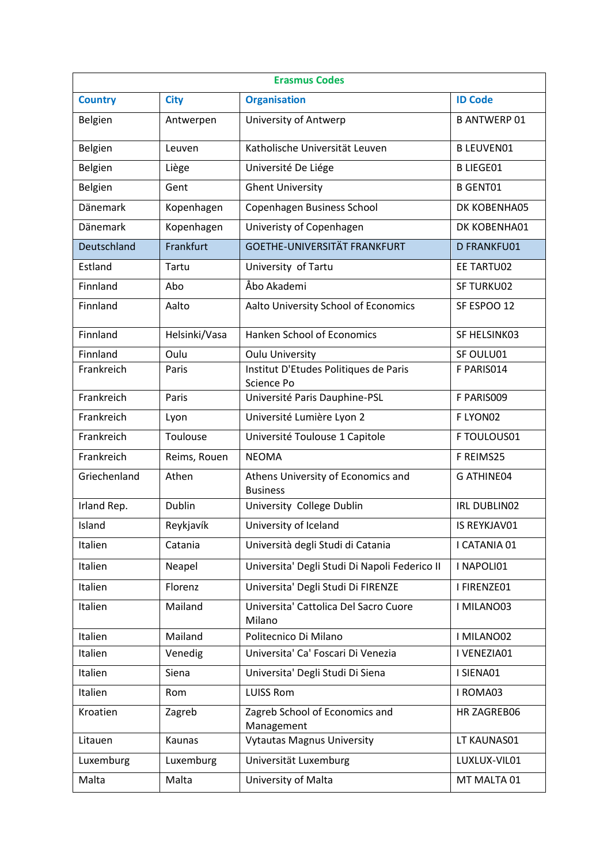| <b>Erasmus Codes</b> |               |                                                       |                     |  |
|----------------------|---------------|-------------------------------------------------------|---------------------|--|
| <b>Country</b>       | <b>City</b>   | <b>Organisation</b>                                   | <b>ID Code</b>      |  |
| Belgien              | Antwerpen     | University of Antwerp                                 | <b>B ANTWERP 01</b> |  |
| Belgien              | Leuven        | Katholische Universität Leuven                        | <b>B LEUVEN01</b>   |  |
| Belgien              | Liège         | Université De Liége                                   | <b>B LIEGE01</b>    |  |
| Belgien              | Gent          | <b>Ghent University</b>                               | <b>B GENT01</b>     |  |
| <b>Dänemark</b>      | Kopenhagen    | Copenhagen Business School                            | DK KOBENHA05        |  |
| Dänemark             | Kopenhagen    | Univeristy of Copenhagen                              | DK KOBENHA01        |  |
| Deutschland          | Frankfurt     | <b>GOETHE-UNIVERSITÄT FRANKFURT</b>                   | D FRANKFU01         |  |
| Estland              | Tartu         | University of Tartu                                   | EE TARTU02          |  |
| Finnland             | Abo           | Åbo Akademi                                           | SF TURKU02          |  |
| Finnland             | Aalto         | Aalto University School of Economics                  | SF ESPOO 12         |  |
| Finnland             | Helsinki/Vasa | Hanken School of Economics                            | SF HELSINK03        |  |
| Finnland             | Oulu          | <b>Oulu University</b>                                | SF OULU01           |  |
| Frankreich           | Paris         | Institut D'Etudes Politiques de Paris<br>Science Po   | F PARIS014          |  |
| Frankreich           | Paris         | Université Paris Dauphine-PSL                         | F PARIS009          |  |
| Frankreich           | Lyon          | Université Lumière Lyon 2                             | F LYON02            |  |
| Frankreich           | Toulouse      | Université Toulouse 1 Capitole                        | F TOULOUS01         |  |
| Frankreich           | Reims, Rouen  | <b>NEOMA</b>                                          | F REIMS25           |  |
| Griechenland         | Athen         | Athens University of Economics and<br><b>Business</b> | <b>G ATHINE04</b>   |  |
| Irland Rep.          | Dublin        | University College Dublin                             | <b>IRL DUBLIN02</b> |  |
| Island               | Reykjavík     | University of Iceland                                 | IS REYKJAV01        |  |
| Italien              | Catania       | Università degli Studi di Catania                     | I CATANIA 01        |  |
| Italien              | Neapel        | Universita' Degli Studi Di Napoli Federico II         | I NAPOLI01          |  |
| Italien              | Florenz       | Universita' Degli Studi Di FIRENZE                    | I FIRENZE01         |  |
| Italien              | Mailand       | Universita' Cattolica Del Sacro Cuore<br>Milano       | I MILANO03          |  |
| Italien              | Mailand       | Politecnico Di Milano                                 | I MILANO02          |  |
| Italien              | Venedig       | Universita' Ca' Foscari Di Venezia                    | I VENEZIA01         |  |
| Italien              | Siena         | Universita' Degli Studi Di Siena                      | I SIENA01           |  |
| Italien              | Rom           | <b>LUISS Rom</b>                                      | I ROMA03            |  |
| Kroatien             | Zagreb        | Zagreb School of Economics and<br>Management          | HR ZAGREB06         |  |
| Litauen              | Kaunas        | <b>Vytautas Magnus University</b>                     | LT KAUNAS01         |  |
| Luxemburg            | Luxemburg     | Universität Luxemburg                                 | LUXLUX-VIL01        |  |
| Malta                | Malta         | University of Malta                                   | MT MALTA 01         |  |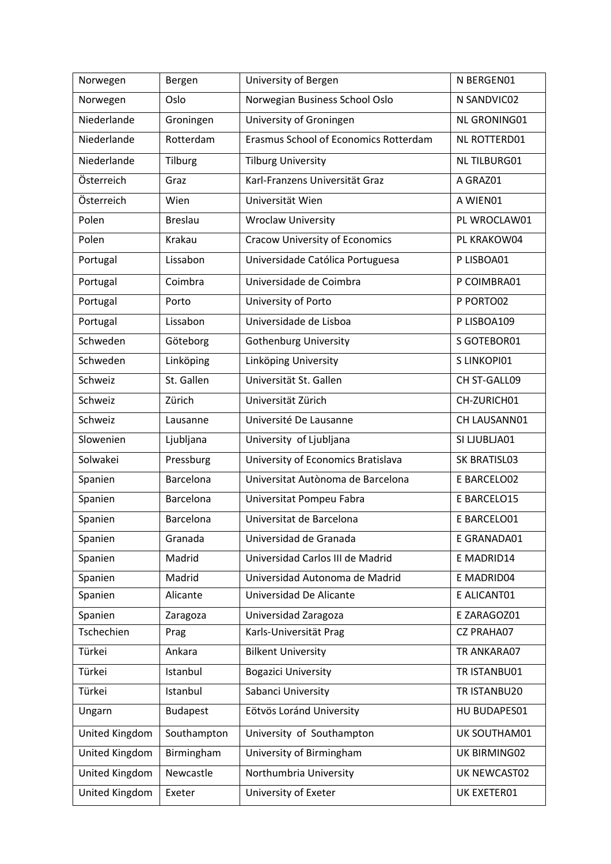| Norwegen       | Bergen           | University of Bergen                  | N BERGEN01          |
|----------------|------------------|---------------------------------------|---------------------|
| Norwegen       | Oslo             | Norwegian Business School Oslo        | N SANDVIC02         |
| Niederlande    | Groningen        | University of Groningen               | NL GRONING01        |
| Niederlande    | Rotterdam        | Erasmus School of Economics Rotterdam | NL ROTTERD01        |
| Niederlande    | Tilburg          | <b>Tilburg University</b>             | <b>NL TILBURG01</b> |
| Österreich     | Graz             | Karl-Franzens Universität Graz        | A GRAZ01            |
| Österreich     | Wien             | Universität Wien                      | A WIEN01            |
| Polen          | <b>Breslau</b>   | <b>Wroclaw University</b>             | PL WROCLAW01        |
| Polen          | Krakau           | <b>Cracow University of Economics</b> | PL KRAKOW04         |
| Portugal       | Lissabon         | Universidade Católica Portuguesa      | P LISBOA01          |
| Portugal       | Coimbra          | Universidade de Coimbra               | P COIMBRA01         |
| Portugal       | Porto            | University of Porto                   | P PORTO02           |
| Portugal       | Lissabon         | Universidade de Lisboa                | P LISBOA109         |
| Schweden       | Göteborg         | <b>Gothenburg University</b>          | S GOTEBOR01         |
| Schweden       | Linköping        | Linköping University                  | S LINKOPI01         |
| Schweiz        | St. Gallen       | Universität St. Gallen                | CH ST-GALL09        |
| Schweiz        | Zürich           | Universität Zürich                    | CH-ZURICH01         |
| Schweiz        | Lausanne         | Université De Lausanne                | CH LAUSANN01        |
| Slowenien      | Ljubljana        | University of Ljubljana               | SI LJUBLJA01        |
| Solwakei       | Pressburg        | University of Economics Bratislava    | SK BRATISL03        |
| Spanien        | <b>Barcelona</b> | Universitat Autònoma de Barcelona     | E BARCELO02         |
| Spanien        | Barcelona        | Universitat Pompeu Fabra              | E BARCELO15         |
| Spanien        | Barcelona        | Universitat de Barcelona              | E BARCELO01         |
| Spanien        | Granada          | Universidad de Granada                | E GRANADA01         |
| Spanien        | Madrid           | Universidad Carlos III de Madrid      | E MADRID14          |
| Spanien        | Madrid           | Universidad Autonoma de Madrid        | E MADRID04          |
| Spanien        | Alicante         | Universidad De Alicante               | E ALICANT01         |
| Spanien        | Zaragoza         | Universidad Zaragoza                  | E ZARAGOZ01         |
| Tschechien     | Prag             | Karls-Universität Prag                | <b>CZ PRAHA07</b>   |
| Türkei         | Ankara           | <b>Bilkent University</b>             | TR ANKARA07         |
| Türkei         | Istanbul         | <b>Bogazici University</b>            | TR ISTANBU01        |
| Türkei         | Istanbul         | Sabanci University                    | TR ISTANBU20        |
| Ungarn         | <b>Budapest</b>  | Eötvös Loránd University              | HU BUDAPES01        |
| United Kingdom | Southampton      | University of Southampton             | UK SOUTHAM01        |
| United Kingdom | Birmingham       | University of Birmingham              | UK BIRMING02        |
| United Kingdom | Newcastle        | Northumbria University                | UK NEWCAST02        |
| United Kingdom | Exeter           | University of Exeter                  | UK EXETER01         |